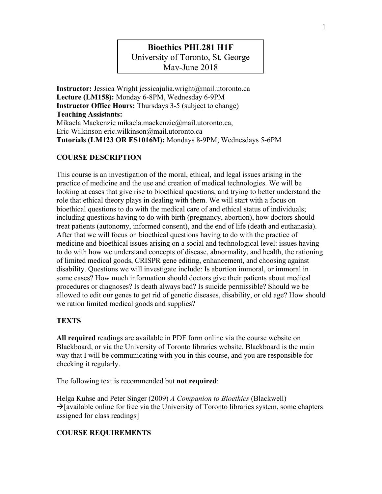# **Bioethics PHL281 H1F**

University of Toronto, St. George

May-June 2018

**Instructor:** Jessica Wright jessicajulia.wright@mail.utoronto.ca **Lecture (LM158):** Monday 6-8PM, Wednesday 6-9PM **Instructor Office Hours:** Thursdays 3-5 (subject to change) **Teaching Assistants:** Mikaela Mackenzie mikaela.mackenzie@mail.utoronto.ca, Eric Wilkinson eric.wilkinson@mail.utoronto.ca **Tutorials (LM123 OR ES1016M):** Mondays 8-9PM, Wednesdays 5-6PM

## **COURSE DESCRIPTION**

This course is an investigation of the moral, ethical, and legal issues arising in the practice of medicine and the use and creation of medical technologies. We will be looking at cases that give rise to bioethical questions, and trying to better understand the role that ethical theory plays in dealing with them. We will start with a focus on bioethical questions to do with the medical care of and ethical status of individuals; including questions having to do with birth (pregnancy, abortion), how doctors should treat patients (autonomy, informed consent), and the end of life (death and euthanasia). After that we will focus on bioethical questions having to do with the practice of medicine and bioethical issues arising on a social and technological level: issues having to do with how we understand concepts of disease, abnormality, and health, the rationing of limited medical goods, CRISPR gene editing, enhancement, and choosing against disability. Questions we will investigate include: Is abortion immoral, or immoral in some cases? How much information should doctors give their patients about medical procedures or diagnoses? Is death always bad? Is suicide permissible? Should we be allowed to edit our genes to get rid of genetic diseases, disability, or old age? How should we ration limited medical goods and supplies?

## **TEXTS**

**All required** readings are available in PDF form online via the course website on Blackboard, or via the University of Toronto libraries website. Blackboard is the main way that I will be communicating with you in this course, and you are responsible for checking it regularly.

The following text is recommended but **not required**:

Helga Kuhse and Peter Singer (2009) *A Companion to Bioethics* (Blackwell)  $\rightarrow$ [available online for free via the University of Toronto libraries system, some chapters assigned for class readings]

## **COURSE REQUIREMENTS**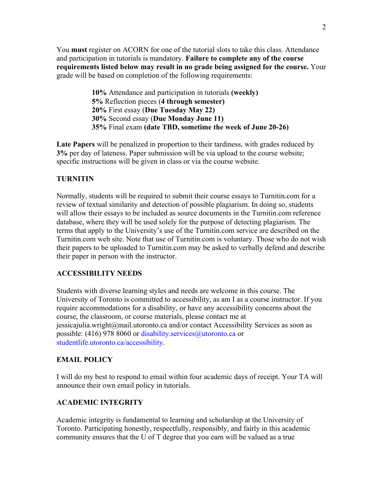You **must** register on ACORN for one of the tutorial slots to take this class. Attendance and participation in tutorials is mandatory. **Failure to complete any of the course requirements listed below may result in no grade being assigned for the course.** Your grade will be based on completion of the following requirements:

> **10%** Attendance and participation in tutorials **(weekly) 5%** Reflection pieces (**4 through semester) 20%** First essay (**Due Tuesday May 22) 30%** Second essay (**Due Monday June 11) 35%** Final exam **(date TBD, sometime the week of June 20-26)**

**Late Papers** will be penalized in proportion to their tardiness, with grades reduced by **3%** per day of lateness. Paper submission will be via upload to the course website; specific instructions will be given in class or via the course website.

#### **TURNITIN**

Normally, students will be required to submit their course essays to Turnitin.com for a review of textual similarity and detection of possible plagiarism. In doing so, students will allow their essays to be included as source documents in the Turnitin.com reference database, where they will be used solely for the purpose of detecting plagiarism. The terms that apply to the University's use of the Turnitin.com service are described on the Turnitin.com web site. Note that use of Turnitin.com is voluntary. Those who do not wish their papers to be uploaded to Turnitin.com may be asked to verbally defend and describe their paper in person with the instructor.

#### **ACCESSIBILITY NEEDS**

Students with diverse learning styles and needs are welcome in this course. The University of Toronto is committed to accessibility, as am I as a course instructor. If you require accommodations for a disability, or have any accessibility concerns about the course, the classroom, or course materials, please contact me at jessicajulia.wright@mail.utoronto.ca and/or contact Accessibility Services as soon as possible: (416) 978 8060 or disability.services@utoronto.ca or studentlife.utoronto.ca/accessibility.

#### **EMAIL POLICY**

I will do my best to respond to email within four academic days of receipt. Your TA will announce their own email policy in tutorials.

## **ACADEMIC INTEGRITY**

Academic integrity is fundamental to learning and scholarship at the University of Toronto. Participating honestly, respectfully, responsibly, and fairly in this academic community ensures that the U of T degree that you earn will be valued as a true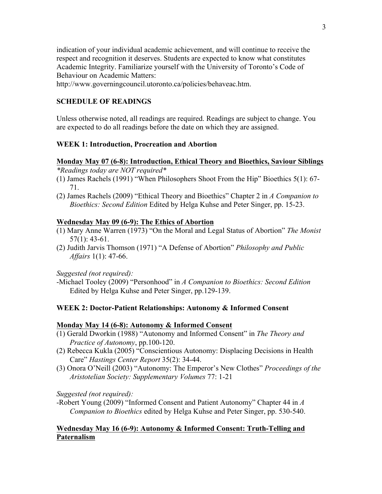indication of your individual academic achievement, and will continue to receive the respect and recognition it deserves. Students are expected to know what constitutes Academic Integrity. Familiarize yourself with the University of Toronto's Code of Behaviour on Academic Matters:

http://www.governingcouncil.utoronto.ca/policies/behaveac.htm.

## **SCHEDULE OF READINGS**

Unless otherwise noted, all readings are required. Readings are subject to change. You are expected to do all readings before the date on which they are assigned.

## **WEEK 1: Introduction, Procreation and Abortion**

#### **Monday May 07 (6-8): Introduction, Ethical Theory and Bioethics, Saviour Siblings** *\*Readings today are NOT required\**

- (1) James Rachels (1991) "When Philosophers Shoot From the Hip" Bioethics 5(1): 67- 71.
- (2) James Rachels (2009) "Ethical Theory and Bioethics" Chapter 2 in *A Companion to Bioethics: Second Edition* Edited by Helga Kuhse and Peter Singer, pp. 15-23.

## **Wednesday May 09 (6-9): The Ethics of Abortion**

- (1) Mary Anne Warren (1973) "On the Moral and Legal Status of Abortion" *The Monist* 57(1): 43-61.
- (2) Judith Jarvis Thomson (1971) "A Defense of Abortion" *Philosophy and Public Affairs* 1(1): 47-66.

*Suggested (not required):*

-Michael Tooley (2009) "Personhood" in *A Companion to Bioethics: Second Edition* Edited by Helga Kuhse and Peter Singer, pp.129-139.

## **WEEK 2: Doctor-Patient Relationships: Autonomy & Informed Consent**

## **Monday May 14 (6-8): Autonomy & Informed Consent**

- (1) Gerald Dworkin (1988) "Autonomy and Informed Consent" in *The Theory and Practice of Autonomy*, pp.100-120.
- (2) Rebecca Kukla (2005) "Conscientious Autonomy: Displacing Decisions in Health Care" *Hastings Center Report* 35(2): 34-44.
- (3) Onora O'Neill (2003) "Autonomy: The Emperor's New Clothes" *Proceedings of the Aristotelian Society: Supplementary Volumes* 77: 1-21

*Suggested (not required):*

-Robert Young (2009) "Informed Consent and Patient Autonomy" Chapter 44 in *A Companion to Bioethics* edited by Helga Kuhse and Peter Singer, pp. 530-540.

## **Wednesday May 16 (6-9): Autonomy & Informed Consent: Truth-Telling and Paternalism**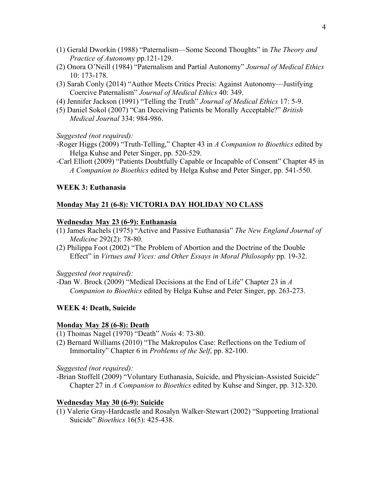- (1) Gerald Dworkin (1988) "Paternalism—Some Second Thoughts" in *The Theory and Practice of Autonomy* pp.121-129.
- (2) Onora O'Neill (1984) "Paternalism and Partial Autonomy" *Journal of Medical Ethics* 10: 173-178.
- (3) Sarah Conly (2014) "Author Meets Critics Precis: Against Autonomy—Justifying Coercive Paternalism" *Journal of Medical Ethics* 40: 349.
- (4) Jennifer Jackson (1991) "Telling the Truth" *Journal of Medical Ethics* 17: 5-9.
- (5) Daniel Sokol (2007) "Can Deceiving Patients be Morally Acceptable?" *British Medical Journal* 334: 984-986.

*Suggested (not required):*

- -Roger Higgs (2009) "Truth-Telling," Chapter 43 in *A Companion to Bioethics* edited by Helga Kuhse and Peter Singer, pp. 520-529.
- -Carl Elliott (2009) "Patients Doubtfully Capable or Incapable of Consent" Chapter 45 in *A Companion to Bioethics* edited by Helga Kuhse and Peter Singer, pp. 541-550.

#### **WEEK 3: Euthanasia**

#### **Monday May 21 (6-8): VICTORIA DAY HOLIDAY NO CLASS**

#### **Wednesday May 23 (6-9): Euthanasia**

- (1) James Rachels (1975) "Active and Passive Euthanasia" *The New England Journal of Medicine* 292(2): 78-80.
- (2) Philippa Foot (2002) "The Problem of Abortion and the Doctrine of the Double Effect" in *Virtues and Vices: and Other Essays in Moral Philosophy* pp. 19-32.

*Suggested (not required):*

-Dan W. Brock (2009) "Medical Decisions at the End of Life" Chapter 23 in *A Companion to Bioethics* edited by Helga Kuhse and Peter Singer, pp. 263-273.

#### **WEEK 4: Death, Suicide**

#### **Monday May 28 (6-8): Death**

- (1) Thomas Nagel (1970) "Death" *Noûs* 4: 73-80.
- (2) Bernard Williams (2010) "The Makropulos Case: Reflections on the Tedium of Immortality" Chapter 6 in *Problems of the Self*, pp. 82-100.

*Suggested (not required):*

-Brian Stoffell (2009) "Voluntary Euthanasia, Suicide, and Physician-Assisted Suicide" Chapter 27 in *A Companion to Bioethics* edited by Kuhse and Singer, pp. 312-320.

#### **Wednesday May 30 (6-9): Suicide**

(1) Valerie Gray-Hardcastle and Rosalyn Walker-Stewart (2002) "Supporting Irrational Suicide" *Bioethics* 16(5): 425-438.